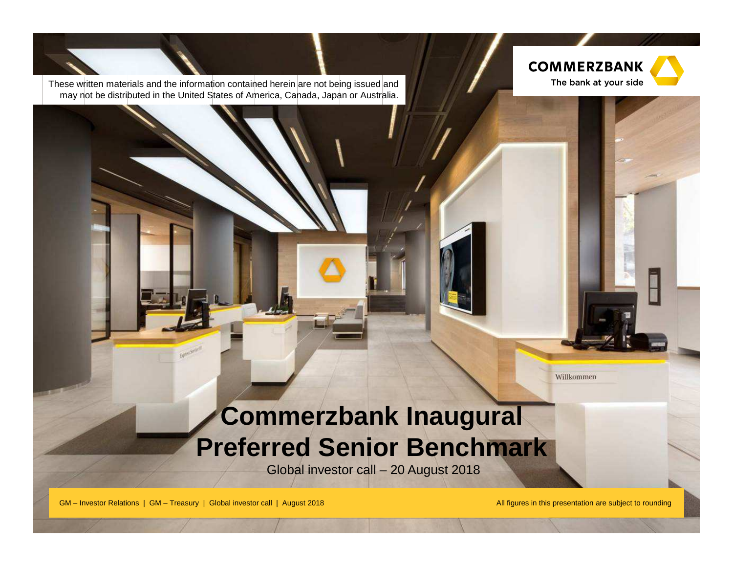

These written materials and the information contained herein are not being issued and may not be distributed in the United States of America, Canada, Japan or Australia.

**Commerzbank 4.0simple – digital – efficient**

# **Commerzbank Inaugural Preferred Senior Benchmark**

Global investor call – 20 August 2018

GM – Investor Relations | GM – Treasury | Global investor call | August 2018

All figures in this presentation are subject to rounding

Willkommen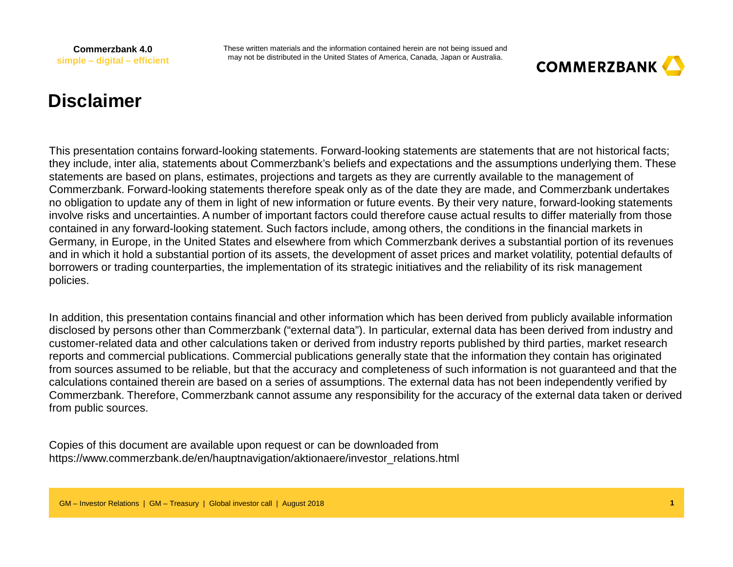These written materials and the information contained herein are not being issued and may not be distributed in the United States of America, Canada, Japan or Australia.



## **Disclaimer**

This presentation contains forward-looking statements. Forward-looking statements are statements that are not historical facts; they include, inter alia, statements about Commerzbank's beliefs and expectations and the assumptions underlying them. These statements are based on plans, estimates, projections and targets as they are currently available to the management of Commerzbank. Forward-looking statements therefore speak only as of the date they are made, and Commerzbank undertakes no obligation to update any of them in light of new information or future events. By their very nature, forward-looking statements involve risks and uncertainties. A number of important factors could therefore cause actual results to differ materially from those contained in any forward-looking statement. Such factors include, among others, the conditions in the financial markets in Germany, in Europe, in the United States and elsewhere from which Commerzbank derives a substantial portion of its revenues and in which it hold a substantial portion of its assets, the development of asset prices and market volatility, potential defaults of borrowers or trading counterparties, the implementation of its strategic initiatives and the reliability of its risk management policies.

In addition, this presentation contains financial and other information which has been derived from publicly available information disclosed by persons other than Commerzbank ("external data"). In particular, external data has been derived from industry and customer-related data and other calculations taken or derived from industry reports published by third parties, market research reports and commercial publications. Commercial publications generally state that the information they contain has originated from sources assumed to be reliable, but that the accuracy and completeness of such information is not guaranteed and that the calculations contained therein are based on a series of assumptions. The external data has not been independently verified by Commerzbank. Therefore, Commerzbank cannot assume any responsibility for the accuracy of the external data taken or derived from public sources.

Copies of this document are available upon request or can be downloaded from https://www.commerzbank.de/en/hauptnavigation/aktionaere/investor\_relations.html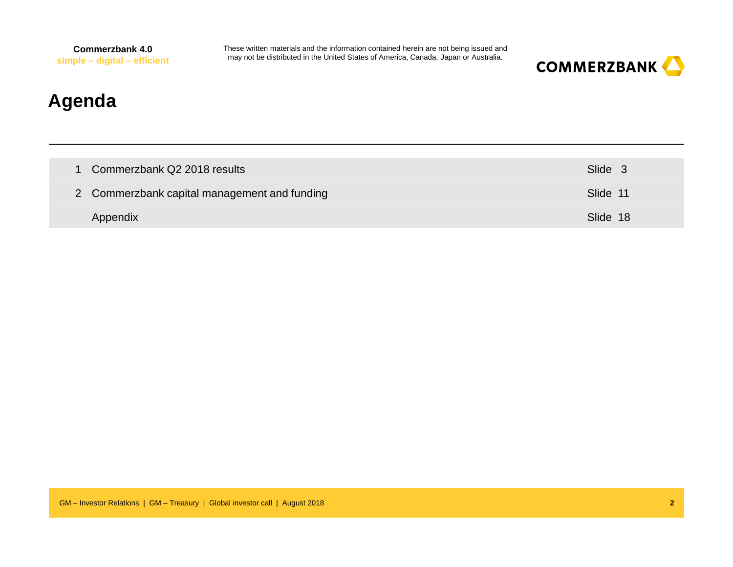These written materials and the information contained herein are not being issued and may not be distributed in the United States of America, Canada, Japan or Australia.



## **Agenda**

| 1 Commerzbank Q2 2018 results                | Slide 3  |
|----------------------------------------------|----------|
| 2 Commerzbank capital management and funding | Slide 11 |
| Appendix                                     | Slide 18 |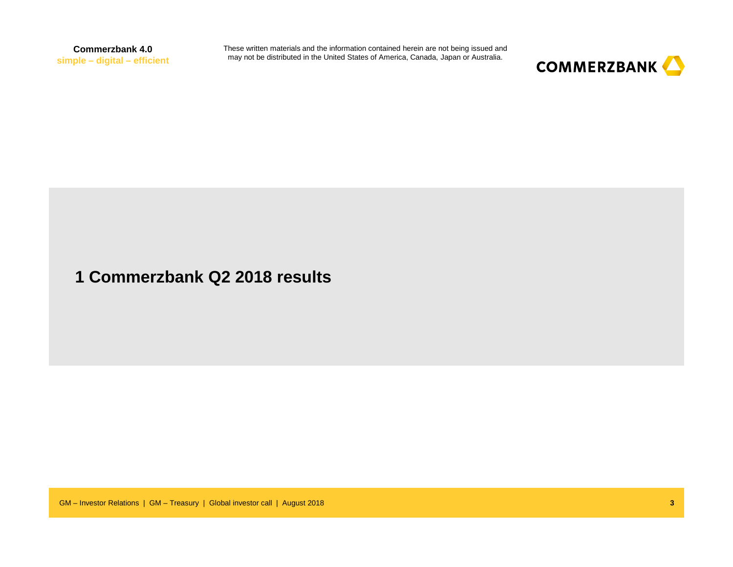These written materials and the information contained herein are not being issued and may not be distributed in the United States of America, Canada, Japan or Australia.



#### **1 Commerzbank Q2 2018 results**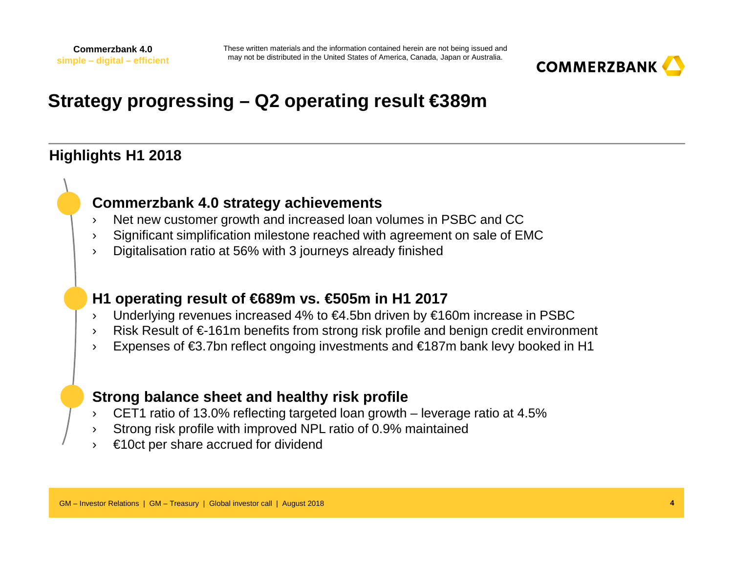

## **Strategy progressing – Q2 operating result €389m**

#### **Highlights H1 2018**

#### **Commerzbank 4.0 strategy achievements**

- Net new customer growth and increased loan volumes in PSBC and CC›
- Significant simplification milestone reached with agreement on sale of EMC›
- ›Digitalisation ratio at 56% with 3 journeys already finished

#### **H1 operating result of €689m vs. €505m in H1 2017**

- Underlying revenues increased 4% to €4.5bn driven by €160m increase in PSBC›
- Risk Result of €-161m benefits from strong risk profile and benign credit environment ›
- ›Expenses of €3.7bn reflect ongoing investments and €187m bank levy booked in H1

#### **Strong balance sheet and healthy risk profile**

- CET1 ratio of 13.0% reflecting targeted loan growth leverage ratio at 4.5% ›
- ›Strong risk profile with improved NPL ratio of 0.9% maintained
- ›€10ct per share accrued for dividend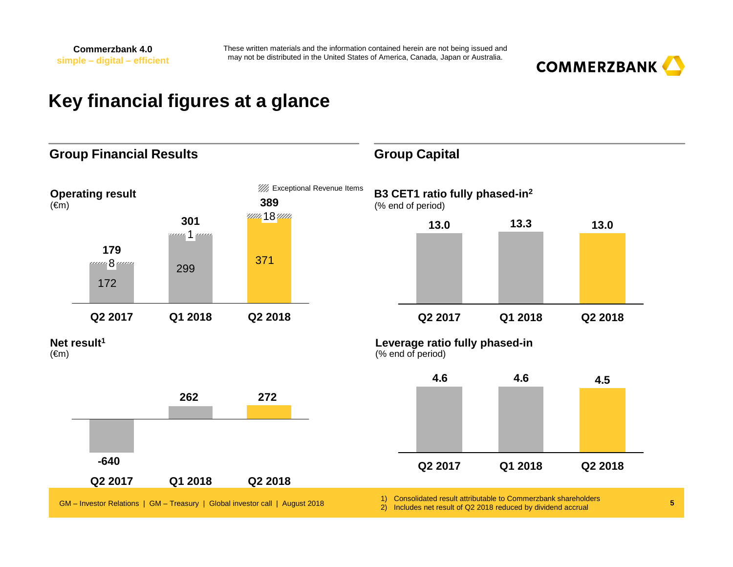

## **Key financial figures at a glance**

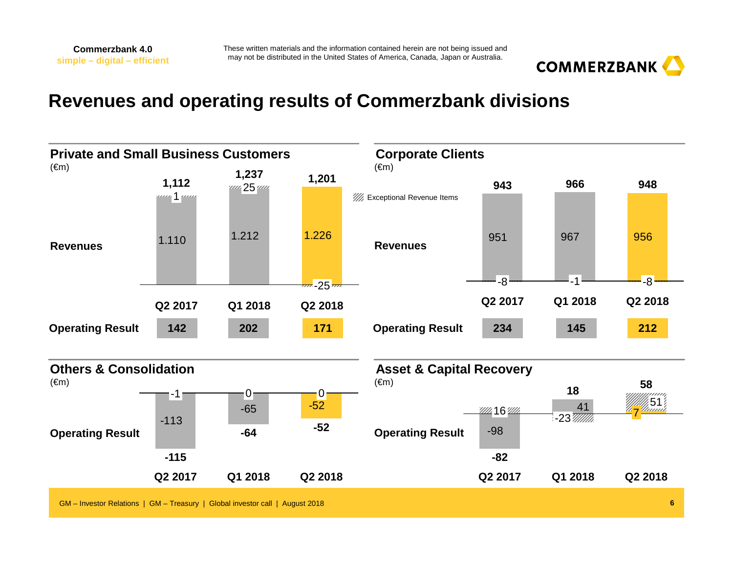

## **Revenues and operating results of Commerzbank divisions**

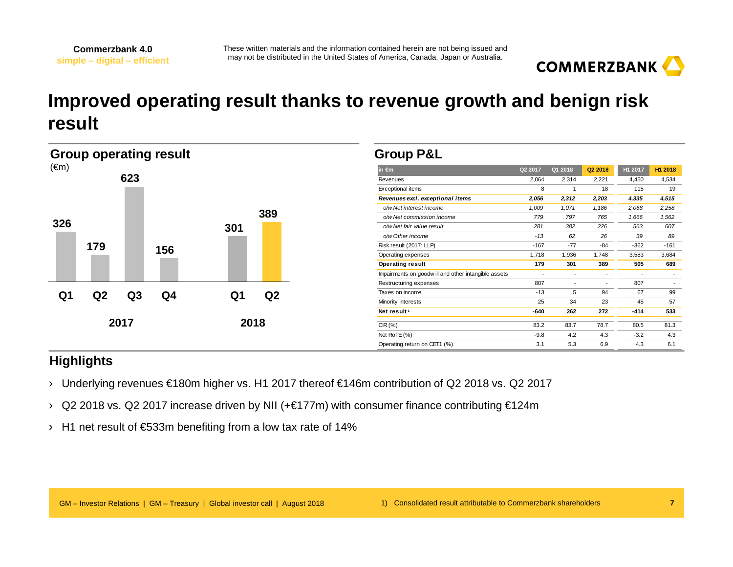

## **Improved operating result thanks to revenue growth and benign risk result**

| <b>Group operating result</b> |                | <b>Group P&amp;L</b> |     |      |      |                                                     |                          |                          |                          |                          |                          |
|-------------------------------|----------------|----------------------|-----|------|------|-----------------------------------------------------|--------------------------|--------------------------|--------------------------|--------------------------|--------------------------|
| $(\epsilon m)$                |                |                      |     |      |      | in $\epsilon$ m                                     | Q2 2017                  | Q1 2018                  | Q2 2018                  | H1 2017                  | H1 2018                  |
|                               |                | 623                  |     |      |      | Revenues                                            | 2,064                    | 2,314                    | 2,221                    | 4,450                    | 4,534                    |
|                               |                |                      |     |      |      | Exceptional items                                   | 8                        |                          | 18                       | 115                      | 19                       |
|                               |                |                      |     |      |      | Revenues excl. exceptional items                    | 2,056                    | 2,312                    | 2,203                    | 4,335                    | 4,515                    |
|                               |                |                      |     |      |      | o/w Net interest income                             | 1,009                    | 1,071                    | 1,186                    | 2,068                    | 2,258                    |
|                               |                |                      |     |      | 389  | o/w Net commission income                           | 779                      | 797                      | 765                      | 1,666                    | 1,562                    |
| 326                           |                |                      |     | 301  |      | o/w Net fair value result                           | 281                      | 382                      | 226                      | 563                      | 607                      |
|                               |                |                      |     |      |      | o/w Other income                                    | $-13$                    | 62                       | 26                       | 39                       | 89                       |
|                               | 179            |                      | 156 |      |      | Risk result (2017: LLP)                             | $-167$                   | $-77$                    | -84                      | $-362$                   | $-161$                   |
|                               |                |                      |     |      |      | Operating expenses                                  | 1,718                    | 1,936                    | 1,748                    | 3,583                    | 3,684                    |
|                               |                |                      |     |      |      | <b>Operating result</b>                             | 179                      | 301                      | 389                      | 505                      | 689                      |
|                               |                |                      |     |      |      | Impairments on goodwill and other intangible assets | $\overline{\phantom{a}}$ | $\overline{\phantom{a}}$ |                          | $\overline{\phantom{a}}$ | $\overline{\phantom{a}}$ |
|                               |                |                      |     |      |      | Restructuring expenses                              | 807                      | $\overline{\phantom{a}}$ | $\overline{\phantom{a}}$ | 807                      | $\overline{\phantom{a}}$ |
| Q1                            | Q <sub>2</sub> | Q <sub>3</sub>       | Q4  | Q1   | Q2   | Taxes on income                                     | $-13$                    | 5                        | 94                       | 67                       | 99                       |
|                               |                |                      |     |      |      | Minority interests                                  | 25                       | 34                       | 23                       | 45                       | 57                       |
|                               |                |                      |     |      |      | Net result <sup>1</sup>                             | $-640$                   | 262                      | 272                      | $-414$                   | 533                      |
| 2017<br>2018                  |                | CIR(%)               |     | 83.7 | 78.7 | 80.5                                                | 81.3                     |                          |                          |                          |                          |
|                               |                |                      |     |      |      | Net RoTE (%)                                        | $-9.8$                   | 4.2                      | 4.3                      | $-3.2$                   | 4.3                      |
|                               |                |                      |     |      |      | Operating return on CET1 (%)                        | 3.1                      | 5.3                      | 6.9                      | 4.3                      | 6.1                      |

#### **Highlights**

- › Underlying revenues €180m higher vs. H1 2017 thereof €146m contribution of Q2 2018 vs. Q2 2017
- › Q2 2018 vs. Q2 2017 increase driven by NII (+€177m) with consumer finance contributing €124m
- › H1 net result of €533m benefiting from a low tax rate of 14%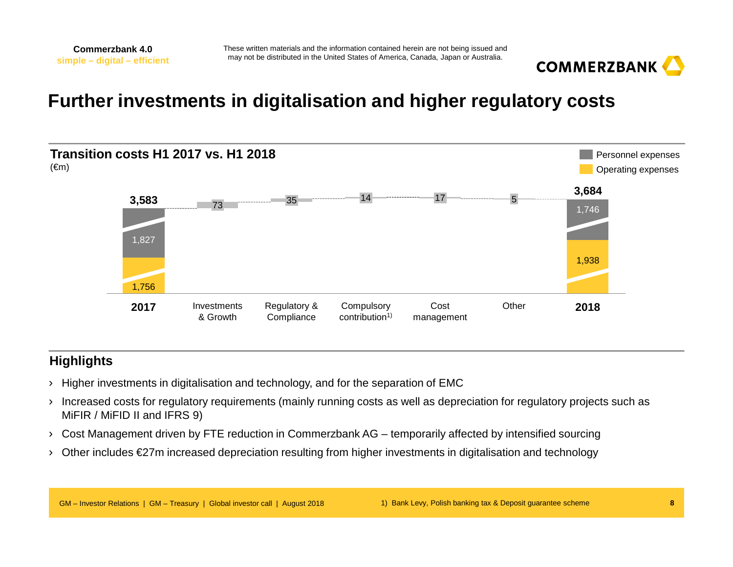

## **Further investments in digitalisation and higher regulatory costs**



#### **Highlights**

- › Higher investments in digitalisation and technology, and for the separation of EMC
- › Increased costs for regulatory requirements (mainly running costs as well as depreciation for regulatory projects such as MiFIR / MiFID II and IFRS 9)
- › Cost Management driven by FTE reduction in Commerzbank AG temporarily affected by intensified sourcing
- › Other includes €27m increased depreciation resulting from higher investments in digitalisation and technology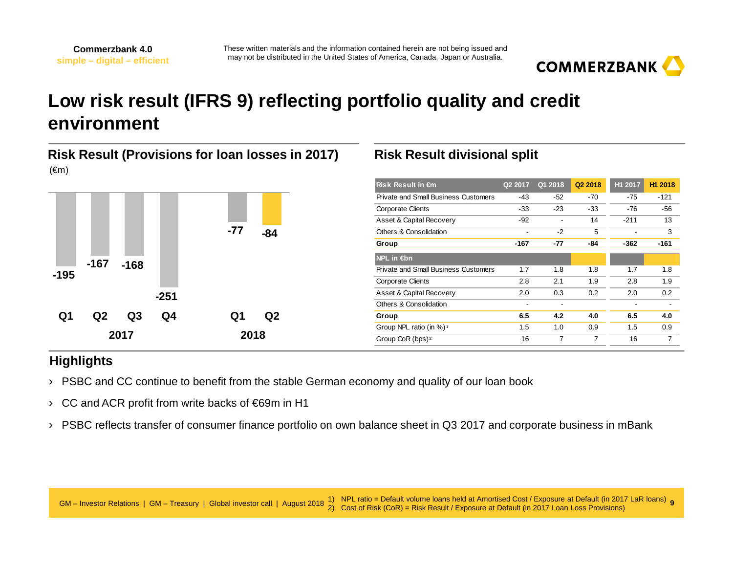

## **Low risk result (IFRS 9) reflecting portfolio quality and credit environment**

#### **Risk Result (Provisions for loan losses in 2017)**(€m)



#### **Risk Result divisional split**

| <b>Risk Result in €m</b>                    | Q2 2017 | Q1 2018        | Q2 2018        | H1 2017 | H1 2018        |
|---------------------------------------------|---------|----------------|----------------|---------|----------------|
| <b>Private and Small Business Customers</b> | $-43$   | -52            | $-70$          | $-75$   | $-121$         |
| <b>Corporate Clients</b>                    | $-33$   | $-23$          | $-33$          | $-76$   | -56            |
| Asset & Capital Recovery                    | $-92$   | $\blacksquare$ | 14             | $-211$  | 13             |
| Others & Consolidation                      | ٠       | $-2$           | 5              |         | 3              |
| Group                                       | $-167$  | $-77$          | -84            | $-362$  | $-161$         |
| $NPL$ in $\notin$ bn                        |         |                |                |         |                |
| Private and Small Business Customers        | 1.7     | 1.8            | 1.8            | 1.7     | 1.8            |
| <b>Corporate Clients</b>                    | 2.8     | 2.1            | 1.9            | 2.8     | 1.9            |
| Asset & Capital Recovery                    | 2.0     | 0.3            | 0.2            | 2.0     | 0.2            |
| Others & Consolidation                      | -       | $\blacksquare$ |                |         | $\blacksquare$ |
| Group                                       | 6.5     | 4.2            | 4.0            | 6.5     | 4.0            |
| Group NPL ratio (in %) <sup>1</sup>         | 1.5     | 1.0            | 0.9            | 1.5     | 0.9            |
| Group CoR (bps) <sup>2</sup>                | 16      | 7              | $\overline{7}$ | 16      | 7              |
|                                             |         |                |                |         |                |

#### **Highlights**

- › PSBC and CC continue to benefit from the stable German economy and quality of our loan book
- › CC and ACR profit from write backs of €69m in H1
- › PSBC reflects transfer of consumer finance portfolio on own balance sheet in Q3 2017 and corporate business in mBank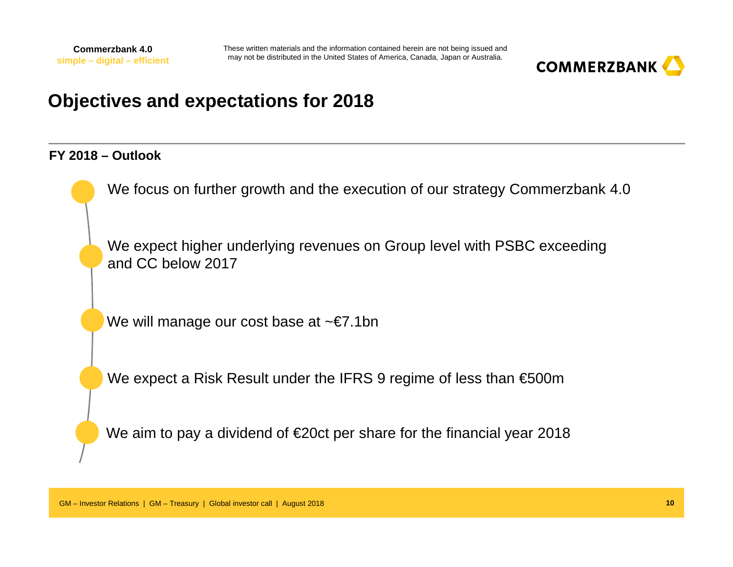

## **Objectives and expectations for 2018**

#### **FY 2018 – Outlook**

We focus on further growth and the execution of our strategy Commerzbank 4.0

We expect higher underlying revenues on Group level with PSBC exceeding and CC below 2017

We will manage our cost base at ~€7.1bn

We expect a Risk Result under the IFRS 9 regime of less than €500m

We aim to pay a dividend of €20ct per share for the financial year 2018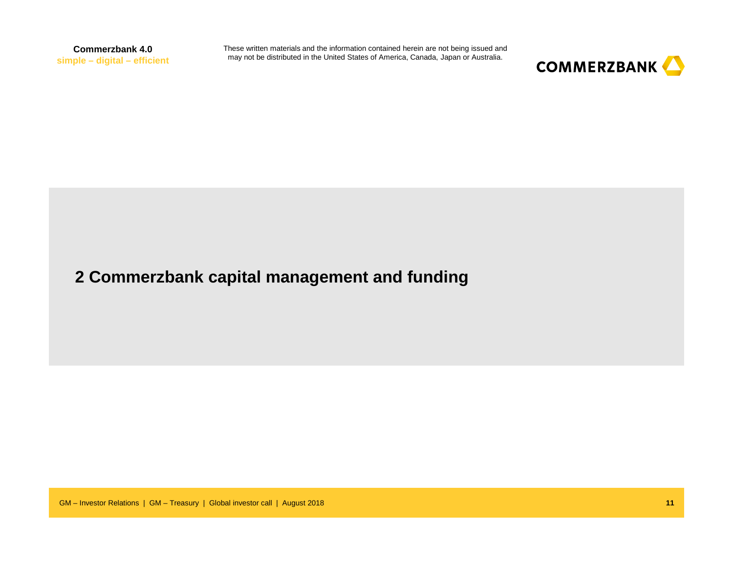These written materials and the information contained herein are not being issued and may not be distributed in the United States of America, Canada, Japan or Australia.



### **2 Commerzbank capital management and funding**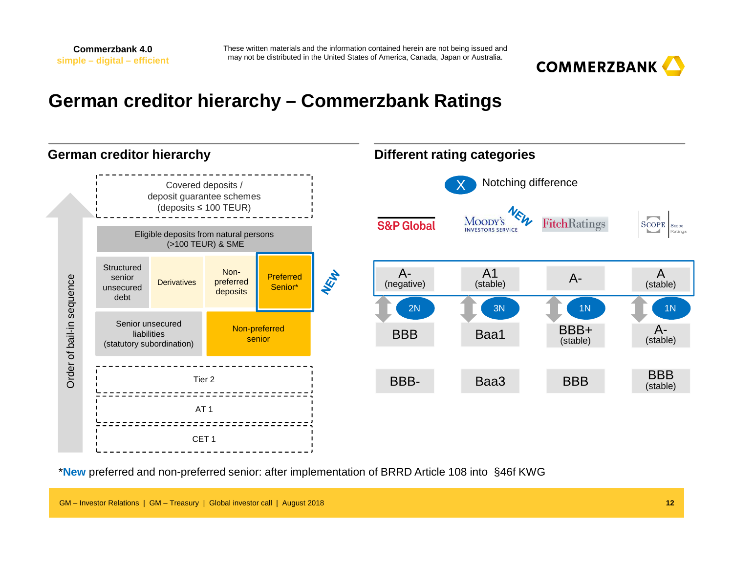

## **German creditor hierarchy – Commerzbank Ratings**



\***New** preferred and non-preferred senior: after implementation of BRRD Article 108 into §46f KWG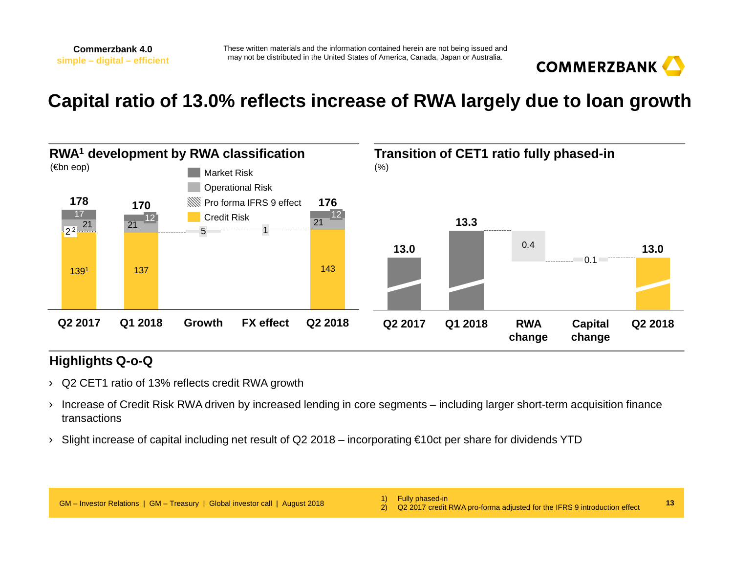

## **Capital ratio of 13.0% reflects increase of RWA largely due to loan growth**



#### **Highlights Q-o-Q**

- › Q2 CET1 ratio of 13% reflects credit RWA growth
- › Increase of Credit Risk RWA driven by increased lending in core segments including larger short-term acquisition finance transactions
- › Slight increase of capital including net result of Q2 2018 incorporating €10ct per share for dividends YTD

**13**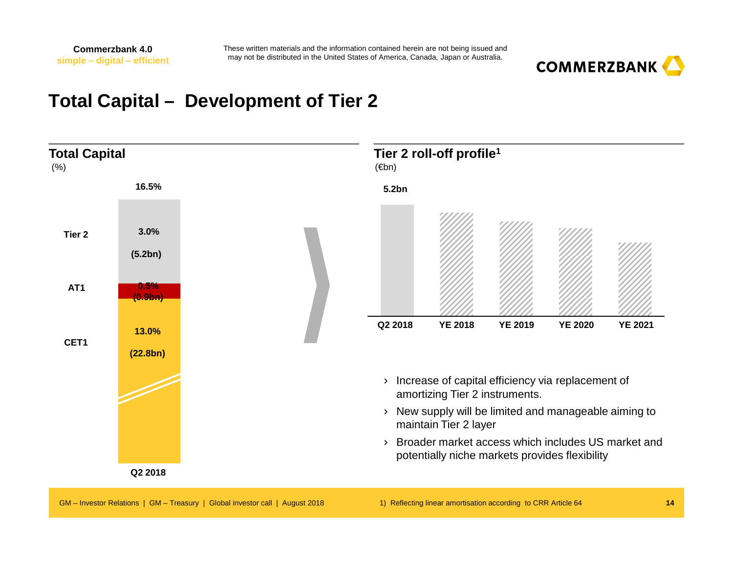

### **Total Capital – Development of Tier 2**

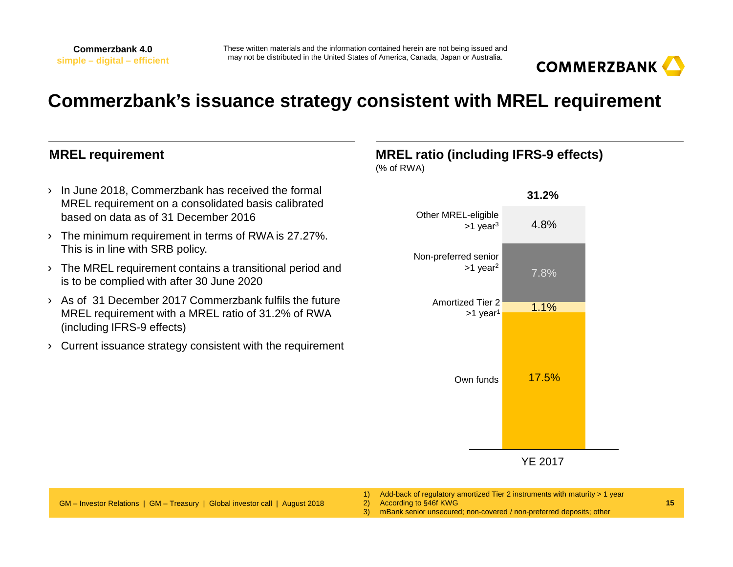

## **Commerzbank's issuance strategy consistent with MREL requirement**

#### **MREL requirement**

- › In June 2018, Commerzbank has received the formal MREL requirement on a consolidated basis calibrated based on data as of 31 December 2016
- › The minimum requirement in terms of RWA is 27.27%. This is in line with SRB policy.
- › The MREL requirement contains a transitional period and is to be complied with after 30 June 2020
- › As of 31 December 2017 Commerzbank fulfils the future MREL requirement with a MREL ratio of 31.2% of RWA (including IFRS-9 effects)
- › Current issuance strategy consistent with the requirement

#### **MREL ratio (including IFRS-9 effects)**

(% of RWA)



YE 2017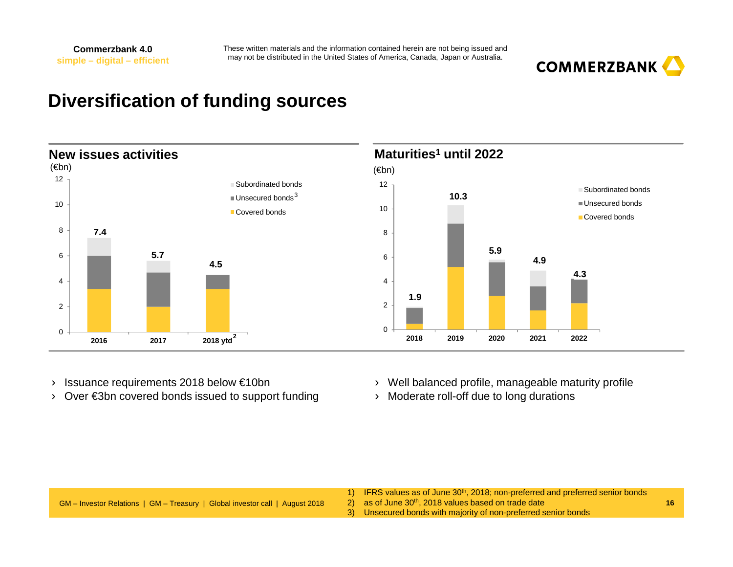

### **Diversification of funding sources**



- ›Issuance requirements 2018 below €10bn
- › Over €3bn covered bonds issued to support funding
- › Well balanced profile, manageable maturity profile
- › Moderate roll-off due to long durations

|                                                                              | 1) IFRS values as of June 30 <sup>th</sup> , 2018; non-preferred and preferred senior bonds |  |
|------------------------------------------------------------------------------|---------------------------------------------------------------------------------------------|--|
| GM – Investor Relations   GM – Treasury   Global investor call   August 2018 | $\langle 2 \rangle$ as of June 30 <sup>th</sup> , 2018 values based on trade date           |  |
|                                                                              | 3) Unsecured bonds with majority of non-preferred senior bonds                              |  |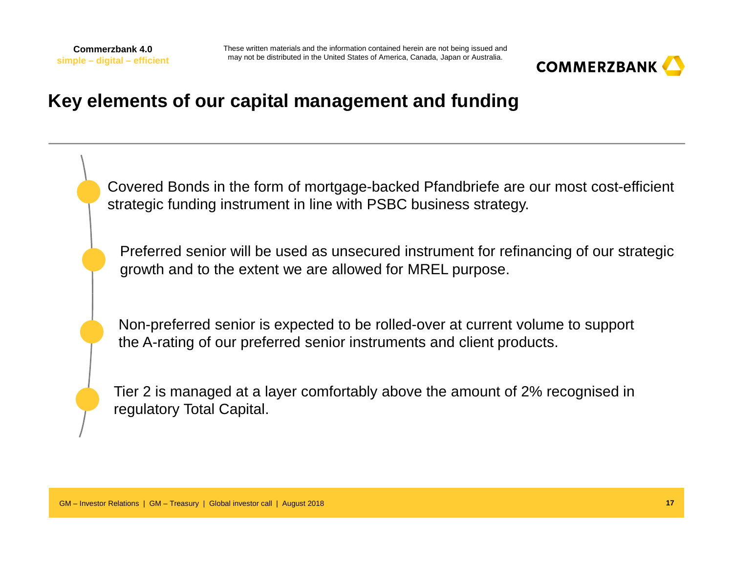

## **Key elements of our capital management and funding**

Covered Bonds in the form of mortgage-backed Pfandbriefe are our most cost-efficient strategic funding instrument in line with PSBC business strategy.

Preferred senior will be used as unsecured instrument for refinancing of our strategic growth and to the extent we are allowed for MREL purpose.

Non-preferred senior is expected to be rolled-over at current volume to support the A-rating of our preferred senior instruments and client products.

Tier 2 is managed at a layer comfortably above the amount of 2% recognised in regulatory Total Capital.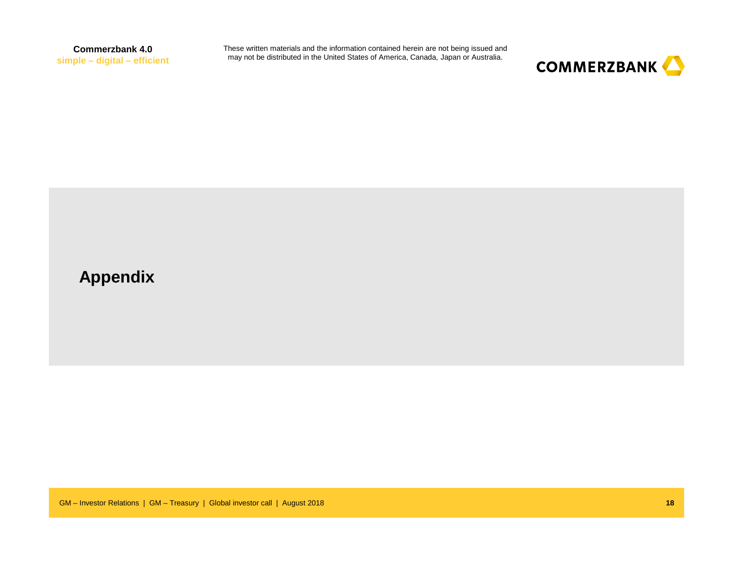These written materials and the information contained herein are not being issued and may not be distributed in the United States of America, Canada, Japan or Australia.



### **Appendix**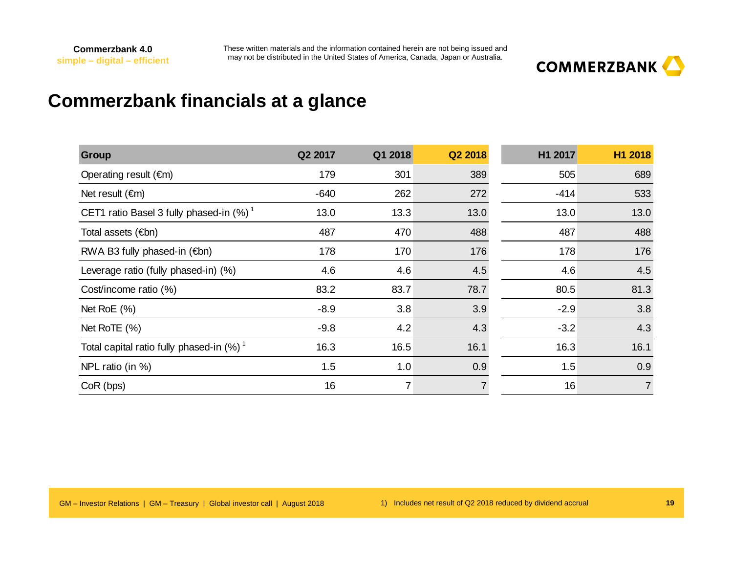

## **Commerzbank financials at a glance**

| <b>Group</b>                                           | Q2 2017 | Q1 2018        | Q2 2018        | H1 2017 | H1 2018        |
|--------------------------------------------------------|---------|----------------|----------------|---------|----------------|
| Operating result $(\epsilon m)$                        | 179     | 301            | 389            | 505     | 689            |
| Net result $(\epsilon m)$                              | $-640$  | 262            | 272            | $-414$  | 533            |
| CET1 ratio Basel 3 fully phased-in $(\%)$ <sup>1</sup> | 13.0    | 13.3           | 13.0           | 13.0    | 13.0           |
| Total assets (€bn)                                     | 487     | 470            | 488            | 487     | 488            |
| RWA B3 fully phased-in $(\epsilon$ bn)                 | 178     | 170            | 176            | 178     | 176            |
| Leverage ratio (fully phased-in) (%)                   | 4.6     | 4.6            | 4.5            | 4.6     | 4.5            |
| Cost/income ratio (%)                                  | 83.2    | 83.7           | 78.7           | 80.5    | 81.3           |
| Net RoE $(\%)$                                         | $-8.9$  | 3.8            | 3.9            | $-2.9$  | 3.8            |
| Net RoTE (%)                                           | $-9.8$  | 4.2            | 4.3            | $-3.2$  | 4.3            |
| Total capital ratio fully phased-in (%) <sup>1</sup>   | 16.3    | 16.5           | 16.1           | 16.3    | 16.1           |
| NPL ratio (in %)                                       | 1.5     | 1.0            | 0.9            | 1.5     | 0.9            |
| CoR (bps)                                              | 16      | $\overline{7}$ | $\overline{7}$ | 16      | $\overline{7}$ |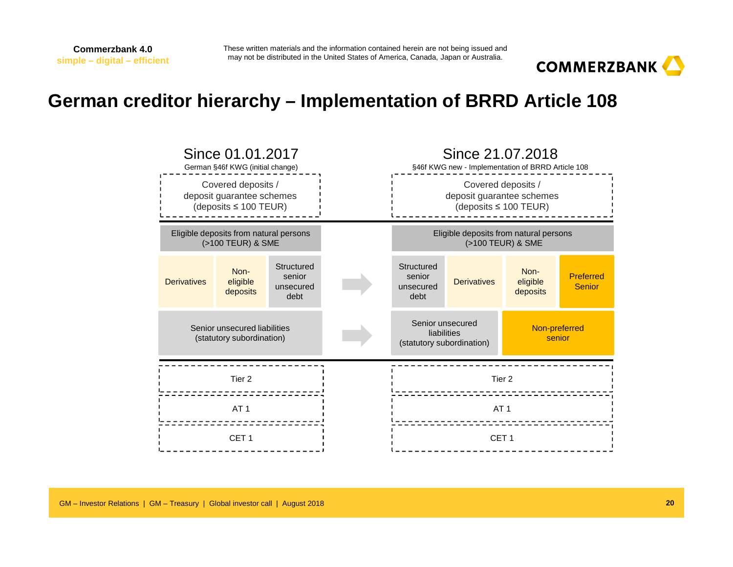These written materials and the information contained herein are not being issued and may not be distributed in the United States of America, Canada, Japan or Australia.



## **German creditor hierarchy – Implementation of BRRD Article 108**

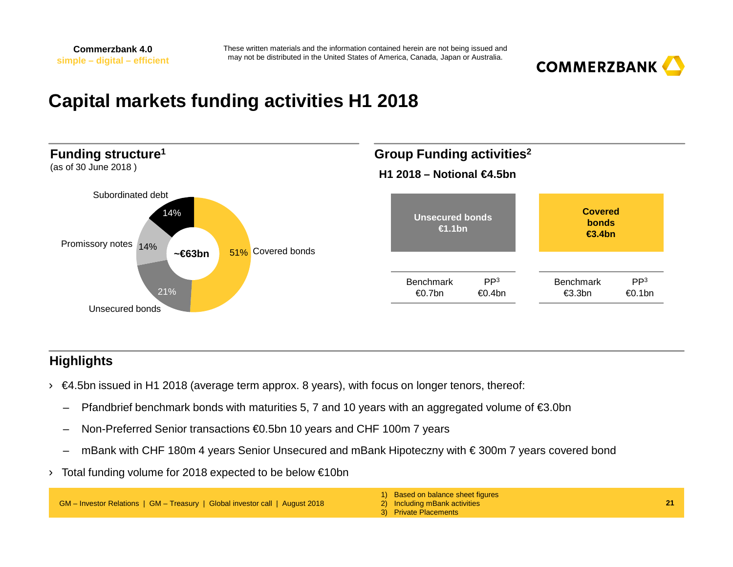

## **Capital markets funding activities H1 2018**



#### **Highlights**

- › €4.5bn issued in H1 2018 (average term approx. 8 years), with focus on longer tenors, thereof:
	- –Pfandbrief benchmark bonds with maturities 5, 7 and 10 years with an aggregated volume of €3.0bn
	- –Non-Preferred Senior transactions €0.5bn 10 years and CHF 100m 7 years
	- –mBank with CHF 180m 4 years Senior Unsecured and mBank Hipoteczny with € 300m 7 years covered bond
- › Total funding volume for 2018 expected to be below €10bn

GM – Investor Relations | GM – Treasury | Global investor call | August 2018

1) Based on balance sheet figures

2) Including mBank activities

3) Private Placements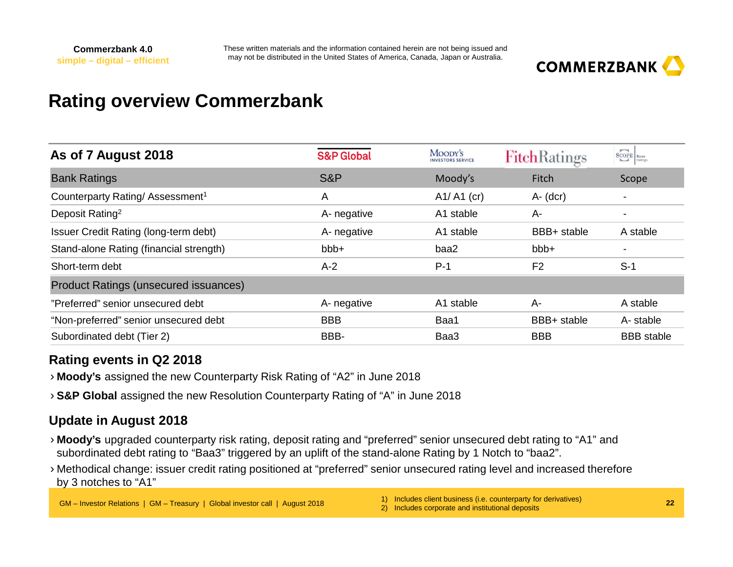

## **Rating overview Commerzbank**

| As of 7 August 2018                         | <b>S&amp;P Global</b> | MOODY'S<br><b>INVESTORS SERVICE</b> | <b>FitchRatings</b> | $\fbox{SOPE} \left  \begin{array}{l} \right. \\ \text{Scope} \end{array} \right _{\text{Ratings}}$ |
|---------------------------------------------|-----------------------|-------------------------------------|---------------------|----------------------------------------------------------------------------------------------------|
| <b>Bank Ratings</b>                         | S&P                   | Moody's                             | Fitch               | Scope                                                                                              |
| Counterparty Rating/Assessment <sup>1</sup> | Α                     | $A1/ A1$ (cr)                       | $A - (dcr)$         |                                                                                                    |
| Deposit Rating <sup>2</sup>                 | A- negative           | A1 stable                           | A-                  |                                                                                                    |
| Issuer Credit Rating (long-term debt)       | A- negative           | A1 stable                           | BBB+ stable         | A stable                                                                                           |
| Stand-alone Rating (financial strength)     | bbb+                  | baa2                                | bbb+                |                                                                                                    |
| Short-term debt                             | $A-2$                 | $P-1$                               | F <sub>2</sub>      | $S-1$                                                                                              |
| Product Ratings (unsecured issuances)       |                       |                                     |                     |                                                                                                    |
| "Preferred" senior unsecured debt           | A- negative           | A1 stable                           | A-                  | A stable                                                                                           |
| "Non-preferred" senior unsecured debt       | <b>BBB</b>            | Baa1                                | BBB+ stable         | A-stable                                                                                           |
| Subordinated debt (Tier 2)                  | BBB-                  | Baa3                                | <b>BBB</b>          | <b>BBB</b> stable                                                                                  |

#### **Rating events in Q2 2018**

- › **Moody's** assigned the new Counterparty Risk Rating of "A2" in June 2018
- › **S&P Global** assigned the new Resolution Counterparty Rating of "A" in June 2018

#### **Update in August 2018**

- › **Moody's** upgraded counterparty risk rating, deposit rating and "preferred" senior unsecured debt rating to "A1" and subordinated debt rating to "Baa3" triggered by an uplift of the stand-alone Rating by 1 Notch to "baa2".
- › Methodical change: issuer credit rating positioned at "preferred" senior unsecured rating level and increased therefore by 3 notches to "A1"

- 1) Includes client business (i.e. counterparty for derivatives)
- 2) Includes corporate and institutional deposits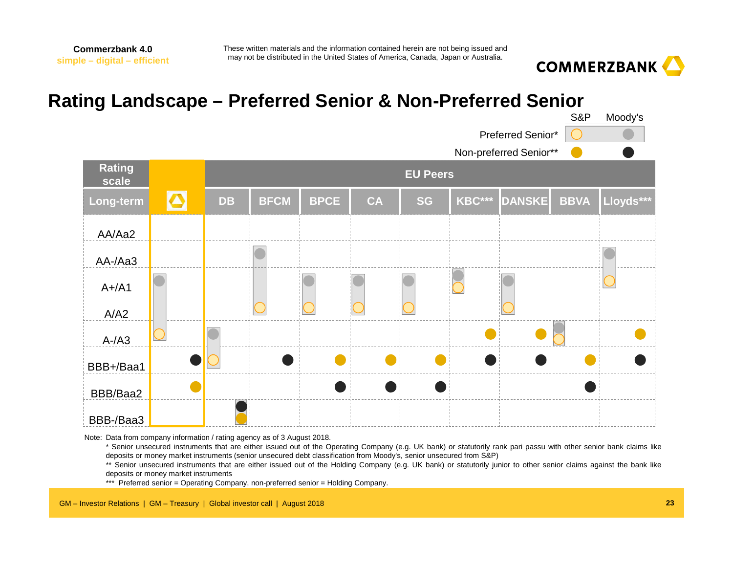

## **Rating Landscape – Preferred Senior & Non-Preferred Senior**



Note: Data from company information / rating agency as of 3 August 2018.

\* Senior unsecured instruments that are either issued out of the Operating Company (e.g. UK bank) or statutorily rank pari passu with other senior bank claims likedeposits or money market instruments (senior unsecured debt classification from Moody's, senior unsecured from S&P)

\*\* Senior unsecured instruments that are either issued out of the Holding Company (e.g. UK bank) or statutorily junior to other senior claims against the bank like deposits or money market instruments

\*\*\* Preferred senior <sup>=</sup> Operating Company, non-preferred senior <sup>=</sup> Holding Company.